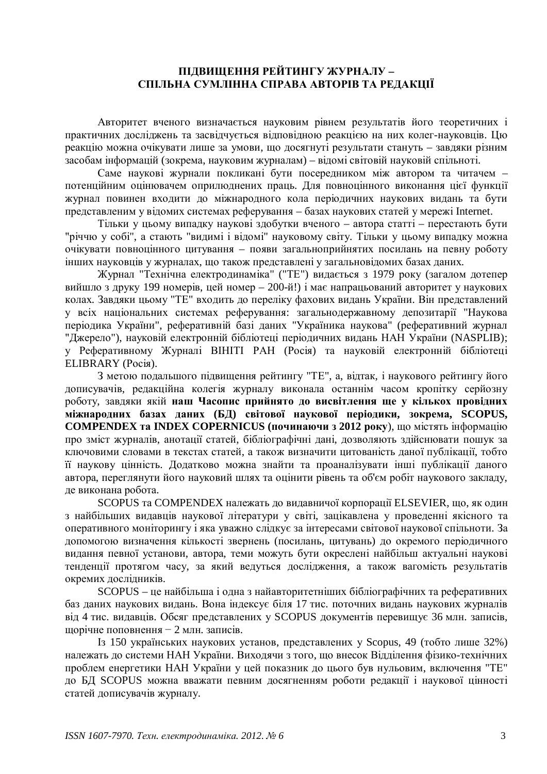## ПІДВИЩЕННЯ РЕЙТИНГУ ЖУРНАЛУ-СПІЛЬНА СУМЛІННА СПРАВА АВТОРІВ ТА РЕДАКЦІЇ

Авторитет вченого визначається науковим рівнем результатів його теоретичних і практичних досліджень та засвідчується відповідною реакцією на них колег-науковців. Цю реакцію можна очікувати лише за умови, що досягнуті результати стануть – завдяки різним засобам інформацій (зокрема, науковим журналам) – відомі світовій науковій спільноті.

Саме наукові журнали покликані бути посередником між автором та читачем потенційним оцінювачем оприлюднених праць. Для повноцінного виконання цієї функції журнал повинен входити до міжнародного кола періодичних наукових видань та бути представленим у відомих системах реферування – базах наукових статей у мережі Internet.

Тільки у цьому випадку наукові здобутки вченого – автора статті – перестають бути "річчю у собі", а стають "видимі і відомі" науковому світу. Тільки у цьому випадку можна очікувати повноцінного цитування – появи загальноприйнятих посилань на певну роботу інших науковців у журналах, що також представлені у загальновідомих базах даних.

Журнал "Технічна електродинаміка" ("ТЕ") видається з 1979 року (загалом дотепер вийшло з друку 199 номерів, цей номер – 200-й!) і має напрацьований авторитет у наукових колах. Завдяки цьому "ТЕ" входить до переліку фахових видань України. Він представлений у всіх національних системах реферування: загальнодержавному депозитарії "Наукова періодика України", реферативній базі даних "Україника наукова" (реферативний журнал "Джерело"), науковій електронній бібліотеці періодичних видань НАН України (NASPLIB); у Реферативному Журналі ВІНІТІ РАН (Росія) та науковій електронній бібліотеці ELIBRARY (Росія).

З метою подальшого підвищення рейтингу "ТЕ", а, відтак, і наукового рейтингу його дописувачів, редакційна колегія журналу виконала останнім часом кропітку серйозну роботу, завдяки якій наш Часопис прийнято до висвітлення ще у кількох провідних **Міжнародних базах даних (БД) світової наукової періодики, зокрема, SCOPUS, COMPENDEX та INDEX COPERNICUS (починаючи з 2012 року), що містять інформацію** про зміст журналів, анотації статей, бібліографічні дані, дозволяють здійснювати пошук за ключовими словами в текстах статей, а також визначити цитованість даної публікації, тобто її наукову цінність. Додатково можна знайти та проаналізувати інші публікації даного автора, переглянути його науковий шлях та оцінити рівень та об'єм робіт наукового закладу, де виконана робота.

SCOPUS та COMPENDEX належать до видавничої корпорації ELSEVIER, що, як один з найбільших видавців наукової літератури у світі, зацікавлена у проведенні якісного та оперативного моніторингу і яка уважно слідкує за інтересами світової наукової спільноти. За допомогою визначення кількості звернень (посилань, цитувань) до окремого періодичного видання певної установи, автора, теми можуть бути окреслені найбільш актуальні наукові тенденції протягом часу, за який ведуться дослідження, а також вагомість результатів окремих дослідників.

SCOPUS – це найбільша і одна з найавторитетніших бібліографічних та реферативних баз даних наукових видань. Вона індексує біля 17 тис. поточних видань наукових журналів від 4 тис. видавців. Обсяг представлених у SCOPUS документів перевищує 36 млн. записів, щорічне поповнення  $-2$  млн. записів.

Iз 150 українських наукових установ, представлених у Scopus, 49 (тобто лише 32%) належать до системи НАН України. Виходячи з того, що внесок Відділення фізико-технічних проблем енергетики НАН України у цей показник до цього був нульовим, включення "ТЕ" ло БЛ SCOPUS можна вважати певним лосягненням роботи релакції і наукової цінності статей дописувачів журналу.